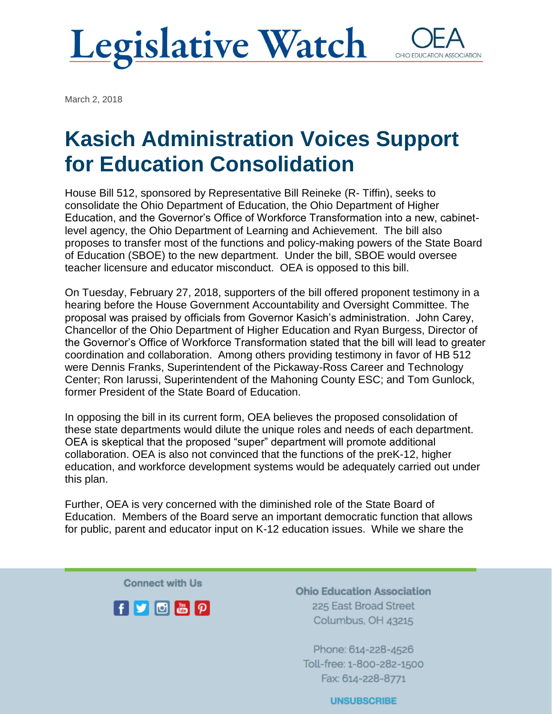# **Legislative Watch**

OHIO EDUCATIO

March 2, 2018

# Kasich Administration Voices Support for Education Consolidation

House Bill 512, sponsored by Representative Bill Reineke (R- Tiffin), seeks to consolidate the Ohio Department of Education, the Ohio Department of Higher Education, and the Governor's Office of Workforce Transformation into a new, cabinetlevel agency, the Ohio Department of Learning and Achievement. The bill also proposes to transfer most of the functions and policy-making powers of the State Board of Education (SBOE) to the new department. Under the bill, SBOE would oversee teacher licensure and educator misconduct. OEA is opposed to this bill.

On Tuesday, February 27, 2018, supporters of the bill offered proponent testimony in a hearing before the House Government Accountability and Oversight Committee. The proposal was praised by officials from Governor Kasich's administration. John Carey, Chancellor of the Ohio Department of Higher Education and Ryan Burgess, Director of the Governor's Office of Workforce Transformation stated that the bill will lead to greater coordination and collaboration. Among others providing testimony in favor of HB 512 were Dennis Franks, Superintendent of the Pickaway-Ross Career and Technology Center; Ron Iarussi, Superintendent of the Mahoning County ESC; and Tom Gunlock, former President of the State Board of Education.

In opposing the bill in its current form, OEA believes the proposed consolidation of these state departments would dilute the unique roles and needs of each department. OEA is skeptical that the proposed "super" department will promote additional collaboration. OEA is also not convinced that the functions of the preK-12, higher education, and workforce development systems would be adequately carried out under this plan.

Further, OEA is very concerned with the diminished role of the State Board of Education. Members of the Board serve an important democratic function that allows for public, parent and educator input on K-12 education issues. While we share the

**Connect with Us** 



**Ohio Education Association** 225 East Broad Street Columbus, OH 43215

Phone: 614-228-4526 Toll-free: 1-800-282-1500 Fax: 614-228-8771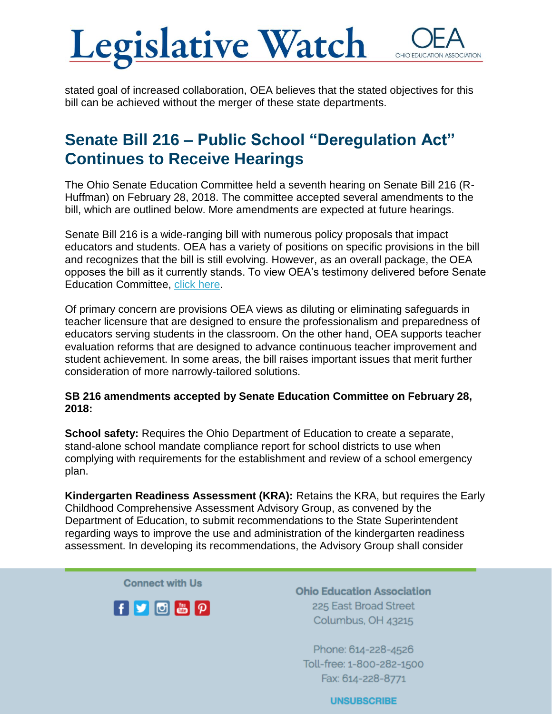### **Legislative Watch** OHIO EDUC

stated goal of increased collaboration, OEA believes that the stated objectives for this bill can be achieved without the merger of these state departments.

### Senate Bill 216 – Public School "Deregulation Act" Continues to Receive Hearings

The Ohio Senate Education Committee held a seventh hearing on Senate Bill 216 (R-Huffman) on February 28, 2018. The committee accepted several amendments to the bill, which are outlined below. More amendments are expected at future hearings.

Senate Bill 216 is a wide-ranging bill with numerous policy proposals that impact educators and students. OEA has a variety of positions on specific provisions in the bill and recognizes that the bill is still evolving. However, as an overall package, the OEA opposes the bill as it currently stands. To view OEA's testimony delivered before Senate Education Committee, [click here.](https://www.ohea.org/cms/assets/uploads/2018/03/SB-216-OEA-Opponent-Testimony-Feb-7-2018.pdf)

Of primary concern are provisions OEA views as diluting or eliminating safeguards in teacher licensure that are designed to ensure the professionalism and preparedness of educators serving students in the classroom. On the other hand, OEA supports teacher evaluation reforms that are designed to advance continuous teacher improvement and student achievement. In some areas, the bill raises important issues that merit further consideration of more narrowly-tailored solutions.

#### **SB 216 amendments accepted by Senate Education Committee on February 28, 2018:**

**School safety:** Requires the Ohio Department of Education to create a separate, stand-alone school mandate compliance report for school districts to use when complying with requirements for the establishment and review of a school emergency plan.

**Kindergarten Readiness Assessment (KRA):** Retains the KRA, but requires the Early Childhood Comprehensive Assessment Advisory Group, as convened by the Department of Education, to submit recommendations to the State Superintendent regarding ways to improve the use and administration of the kindergarten readiness assessment. In developing its recommendations, the Advisory Group shall consider

**Connect with Us** 



**Ohio Education Association** 225 East Broad Street Columbus, OH 43215

Phone: 614-228-4526 Toll-free: 1-800-282-1500 Fax: 614-228-8771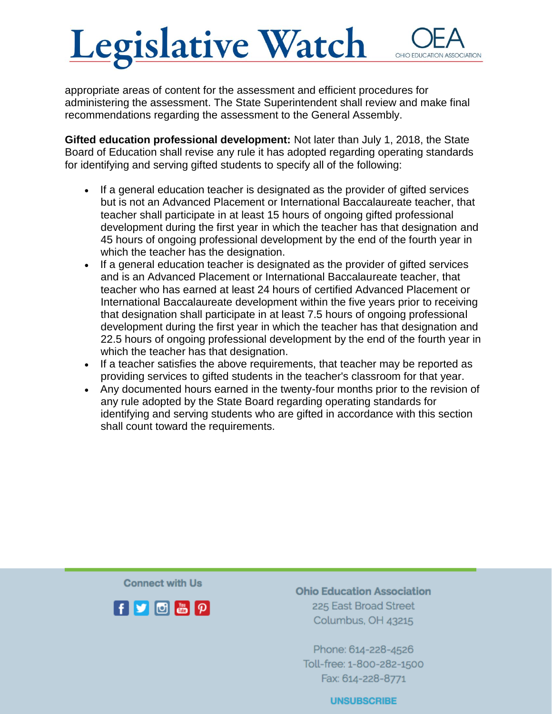## Legislative Watch OHIO FDUCAT

appropriate areas of content for the assessment and efficient procedures for administering the assessment. The State Superintendent shall review and make final recommendations regarding the assessment to the General Assembly.

**Gifted education professional development:** Not later than July 1, 2018, the State Board of Education shall revise any rule it has adopted regarding operating standards for identifying and serving gifted students to specify all of the following:

- If a general education teacher is designated as the provider of gifted services but is not an Advanced Placement or International Baccalaureate teacher, that teacher shall participate in at least 15 hours of ongoing gifted professional development during the first year in which the teacher has that designation and 45 hours of ongoing professional development by the end of the fourth year in which the teacher has the designation.
- If a general education teacher is designated as the provider of gifted services and is an Advanced Placement or International Baccalaureate teacher, that teacher who has earned at least 24 hours of certified Advanced Placement or International Baccalaureate development within the five years prior to receiving that designation shall participate in at least 7.5 hours of ongoing professional development during the first year in which the teacher has that designation and 22.5 hours of ongoing professional development by the end of the fourth year in which the teacher has that designation.
- If a teacher satisfies the above requirements, that teacher may be reported as providing services to gifted students in the teacher's classroom for that year.
- Any documented hours earned in the twenty-four months prior to the revision of any rule adopted by the State Board regarding operating standards for identifying and serving students who are gifted in accordance with this section shall count toward the requirements.

**Connect with Us** 



**Ohio Education Association** 225 East Broad Street Columbus, OH 43215

Phone: 614-228-4526 Toll-free: 1-800-282-1500 Fax: 614-228-8771